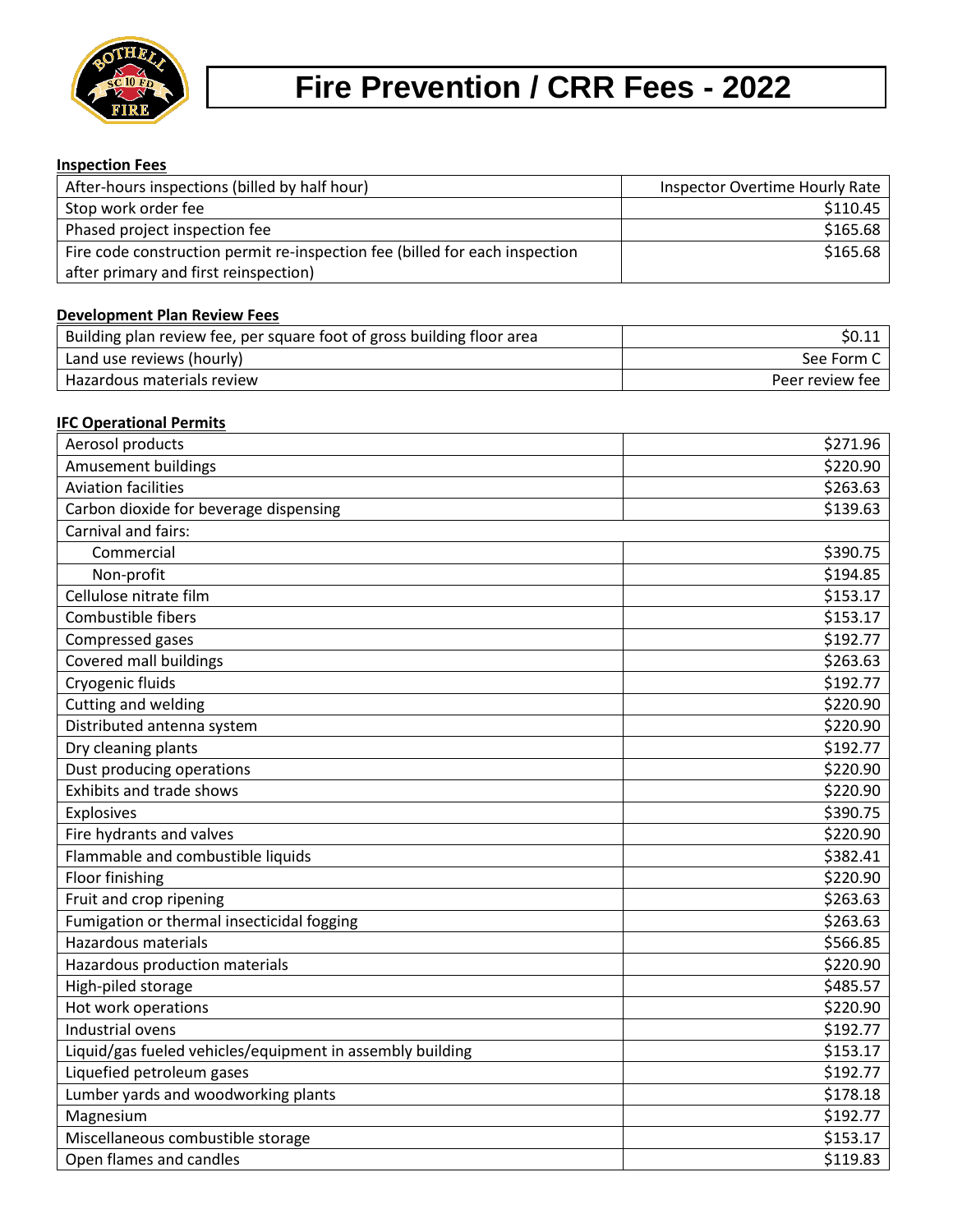

# **Fire Prevention / CRR Fees - 2022**

# **Inspection Fees**

| After-hours inspections (billed by half hour)                               | <b>Inspector Overtime Hourly Rate</b> |
|-----------------------------------------------------------------------------|---------------------------------------|
| Stop work order fee                                                         | \$110.45                              |
| Phased project inspection fee                                               | \$165.68                              |
| Fire code construction permit re-inspection fee (billed for each inspection | \$165.68                              |
| after primary and first reinspection)                                       |                                       |

## **Development Plan Review Fees**

| Building plan review fee, per square foot of gross building floor area | S0.11           |
|------------------------------------------------------------------------|-----------------|
| Land use reviews (hourly)                                              | See Form C      |
| Hazardous materials review                                             | Peer review fee |

## **IFC Operational Permits**

| Aerosol products                                          | \$271.96 |
|-----------------------------------------------------------|----------|
| Amusement buildings                                       | \$220.90 |
| <b>Aviation facilities</b>                                | \$263.63 |
| Carbon dioxide for beverage dispensing                    | \$139.63 |
| Carnival and fairs:                                       |          |
| Commercial                                                | \$390.75 |
| Non-profit                                                | \$194.85 |
| Cellulose nitrate film                                    | \$153.17 |
| Combustible fibers                                        | \$153.17 |
| Compressed gases                                          | \$192.77 |
| Covered mall buildings                                    | \$263.63 |
| Cryogenic fluids                                          | \$192.77 |
| Cutting and welding                                       | \$220.90 |
| Distributed antenna system                                | \$220.90 |
| Dry cleaning plants                                       | \$192.77 |
| Dust producing operations                                 | \$220.90 |
| Exhibits and trade shows                                  | \$220.90 |
| Explosives                                                | \$390.75 |
| Fire hydrants and valves                                  | \$220.90 |
| Flammable and combustible liquids                         | \$382.41 |
| Floor finishing                                           | \$220.90 |
| Fruit and crop ripening                                   | \$263.63 |
| Fumigation or thermal insecticidal fogging                | \$263.63 |
| <b>Hazardous materials</b>                                | \$566.85 |
| Hazardous production materials                            | \$220.90 |
| High-piled storage                                        | \$485.57 |
| Hot work operations                                       | \$220.90 |
| Industrial ovens                                          | \$192.77 |
| Liquid/gas fueled vehicles/equipment in assembly building | \$153.17 |
| Liquefied petroleum gases                                 | \$192.77 |
| Lumber yards and woodworking plants                       | \$178.18 |
| Magnesium                                                 | \$192.77 |
| Miscellaneous combustible storage                         | \$153.17 |
| Open flames and candles                                   | \$119.83 |
|                                                           |          |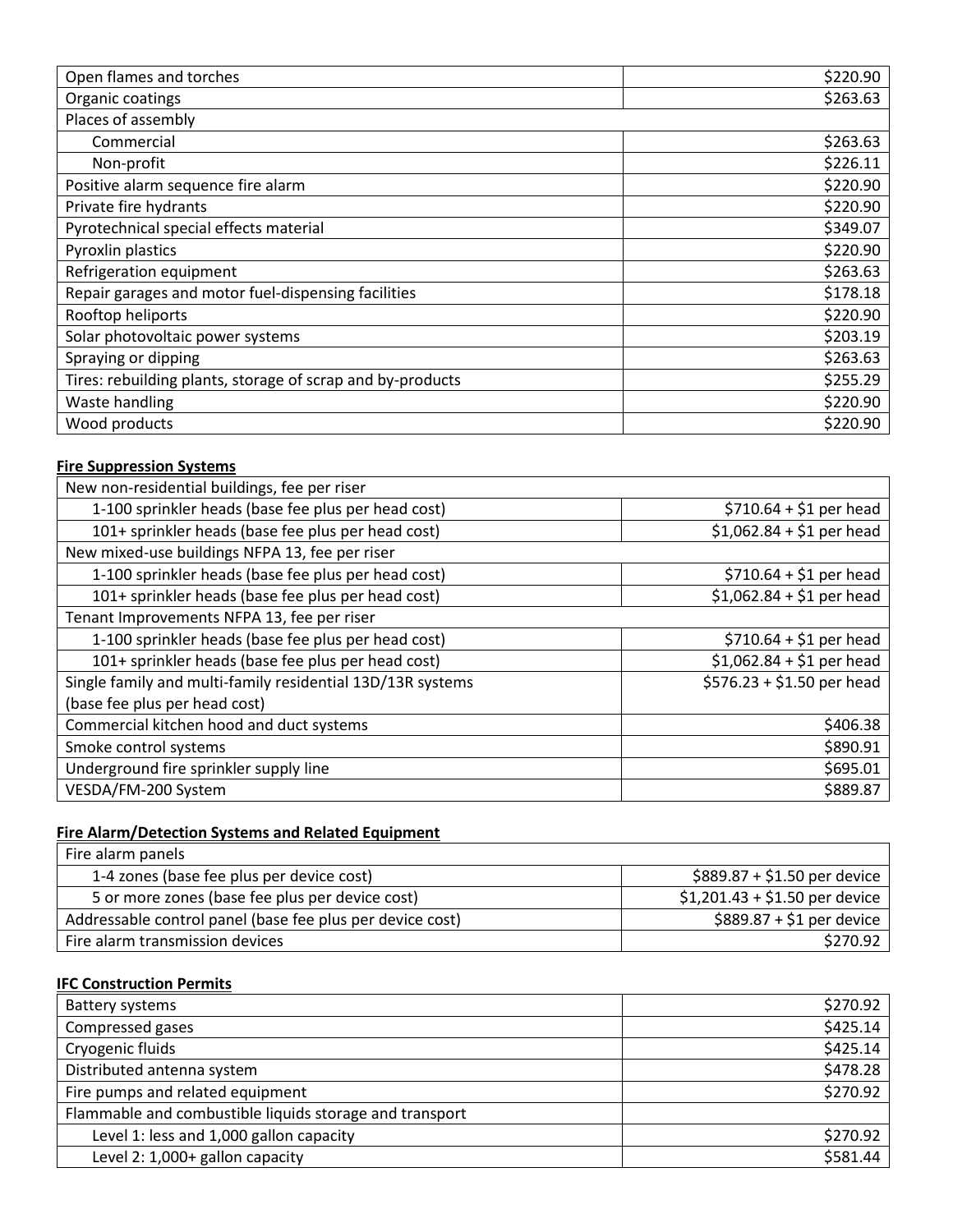| Open flames and torches                                    | \$220.90 |
|------------------------------------------------------------|----------|
| Organic coatings                                           | \$263.63 |
| Places of assembly                                         |          |
| Commercial                                                 | \$263.63 |
| Non-profit                                                 | \$226.11 |
| Positive alarm sequence fire alarm                         | \$220.90 |
| Private fire hydrants                                      | \$220.90 |
| Pyrotechnical special effects material                     | \$349.07 |
| Pyroxlin plastics                                          | \$220.90 |
| Refrigeration equipment                                    | \$263.63 |
| Repair garages and motor fuel-dispensing facilities        | \$178.18 |
| Rooftop heliports                                          | \$220.90 |
| Solar photovoltaic power systems                           | \$203.19 |
| Spraying or dipping                                        | \$263.63 |
| Tires: rebuilding plants, storage of scrap and by-products | \$255.29 |
| Waste handling                                             | \$220.90 |
| Wood products                                              | \$220.90 |

# **Fire Suppression Systems**

| New non-residential buildings, fee per riser               |                            |
|------------------------------------------------------------|----------------------------|
| 1-100 sprinkler heads (base fee plus per head cost)        | $$710.64 + $1$ per head    |
| 101+ sprinkler heads (base fee plus per head cost)         | $$1,062.84 + $1$ per head  |
| New mixed-use buildings NFPA 13, fee per riser             |                            |
| 1-100 sprinkler heads (base fee plus per head cost)        | $$710.64 + $1$ per head    |
| 101+ sprinkler heads (base fee plus per head cost)         | $$1,062.84 + $1$ per head  |
| Tenant Improvements NFPA 13, fee per riser                 |                            |
| 1-100 sprinkler heads (base fee plus per head cost)        | $$710.64 + $1$ per head    |
| 101+ sprinkler heads (base fee plus per head cost)         | $$1,062.84 + $1$ per head  |
| Single family and multi-family residential 13D/13R systems | $$576.23 + $1.50$ per head |
| (base fee plus per head cost)                              |                            |
| Commercial kitchen hood and duct systems                   | \$406.38                   |
| Smoke control systems                                      | \$890.91                   |
| Underground fire sprinkler supply line                     | \$695.01                   |
| VESDA/FM-200 System                                        | \$889.87                   |

# **Fire Alarm/Detection Systems and Related Equipment**

| Fire alarm panels                                         |                                |
|-----------------------------------------------------------|--------------------------------|
| 1-4 zones (base fee plus per device cost)                 | $$889.87 + $1.50$ per device   |
| 5 or more zones (base fee plus per device cost)           | $$1,201.43 + $1.50$ per device |
| Addressable control panel (base fee plus per device cost) | $$889.87 + $1$ per device      |
| Fire alarm transmission devices                           | \$270.92                       |

## **IFC Construction Permits**

| <b>Battery systems</b>                                  | \$270.92 |
|---------------------------------------------------------|----------|
| Compressed gases                                        | \$425.14 |
| Cryogenic fluids                                        | \$425.14 |
| Distributed antenna system                              | \$478.28 |
| Fire pumps and related equipment                        | \$270.92 |
| Flammable and combustible liquids storage and transport |          |
| Level 1: less and 1,000 gallon capacity                 | \$270.92 |
| Level 2: 1,000+ gallon capacity                         | \$581.44 |